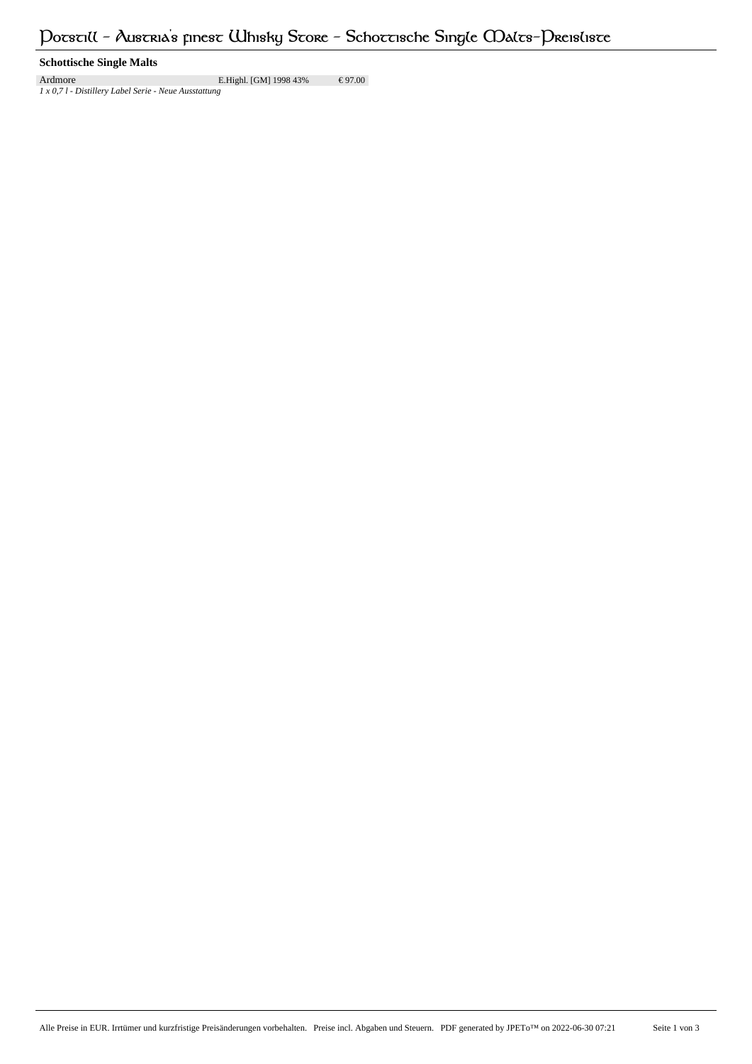# **Schottische Single Malts**

Ardmore E.Highl. [GM] 1998 43% € 97.00 *1 x 0,7 l - Distillery Label Serie - Neue Ausstattung*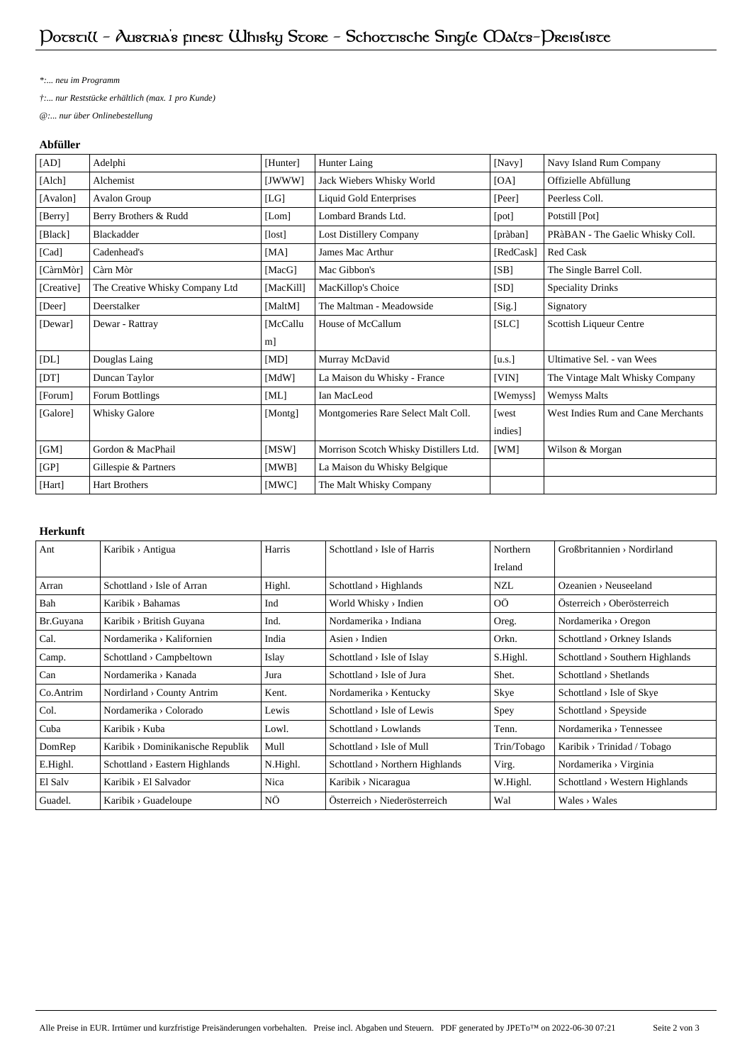*\*:... neu im Programm*

*†:... nur Reststücke erhältlich (max. 1 pro Kunde)*

*@:... nur über Onlinebestellung*

## **Abfüller**

| [AD]       | Adelphi                         | [Hunter]    | Hunter Laing                           | [Navy]    | Navy Island Rum Company            |
|------------|---------------------------------|-------------|----------------------------------------|-----------|------------------------------------|
| [Alch]     | Alchemist                       | [JWWW]      | Jack Wiebers Whisky World              | [OA]      | Offizielle Abfüllung               |
| [Avalon]   | Avalon Group                    | [LG]        | <b>Liquid Gold Enterprises</b>         | [Peer]    | Peerless Coll.                     |
| [Berry]    | Berry Brothers & Rudd           | [Lom]       | Lombard Brands Ltd.                    | [pot]     | Potstill [Pot]                     |
| [Black]    | Blackadder                      | [lost]      | Lost Distillery Company                | [pràban]  | PRàBAN - The Gaelic Whisky Coll.   |
| [Cad]      | Cadenhead's                     | [MA]        | James Mac Arthur                       | [RedCask] | <b>Red Cask</b>                    |
| [CàrnMòr]  | Càrn Mòr                        | [MacG]      | Mac Gibbon's                           | [SB]      | The Single Barrel Coll.            |
| [Creative] | The Creative Whisky Company Ltd | [MacKill]   | MacKillop's Choice                     | [SD]      | <b>Speciality Drinks</b>           |
| [Deer]     | Deerstalker                     | [MaltM]     | The Maltman - Meadowside               | [Sig.]    | Signatory                          |
| [Dewar]    | Dewar - Rattray                 | [McCallu]   | House of McCallum                      | [SLC]     | Scottish Liqueur Centre            |
|            |                                 | m]          |                                        |           |                                    |
| [DL]       | Douglas Laing                   | [MD]        | Murray McDavid                         | [u.s.]    | Ultimative Sel. - van Wees         |
| [DT]       | Duncan Taylor                   | [MdW]       | La Maison du Whisky - France           | [VIN]     | The Vintage Malt Whisky Company    |
| [Forum]    | Forum Bottlings                 | [ML]        | Ian MacLeod                            | [Wemyss]  | <b>Wemyss Malts</b>                |
| [Galore]   | Whisky Galore                   | [Montg]     | Montgomeries Rare Select Malt Coll.    | [west     | West Indies Rum and Cane Merchants |
|            |                                 |             |                                        | indies]   |                                    |
| [GM]       | Gordon & MacPhail               | $[$ MSW $]$ | Morrison Scotch Whisky Distillers Ltd. | [WM]      | Wilson & Morgan                    |
| [GP]       | Gillespie & Partners            | [MWB]       | La Maison du Whisky Belgique           |           |                                    |
| [Hart]     | <b>Hart Brothers</b>            | [MWC]       | The Malt Whisky Company                |           |                                    |

# **Herkunft**

| Ant       | Karibik > Antigua                          | Harris   | $Schottland > Isle$ of Harris               | Northern    | $GroBbritannien \rightarrow Nordirland$     |
|-----------|--------------------------------------------|----------|---------------------------------------------|-------------|---------------------------------------------|
|           |                                            |          |                                             | Ireland     |                                             |
| Arran     | $Schottland \rightarrow Isle$ of Arran     | Highl.   | $Schottland \rightarrow Highlands$          | <b>NZL</b>  | $O$ zeanien > Neuseeland                    |
| Bah       | Karibik > Bahamas                          | Ind      | World Whisky > Indien                       | <b>OÖ</b>   | $Österreich \rightarrow Oberösterreich$     |
| Br.Guyana | Karibik > British Guyana                   | Ind.     | Nordamerika > Indiana                       | Oreg.       | Nordamerika > Oregon                        |
| Cal.      | Nordamerika > Kalifornien                  | India    | $Asim$ > Indien                             | Orkn.       | Schottland > Orkney Islands                 |
| Camp.     | Schottland > Campbeltown                   | Islay    | Schottland $>$ Isle of Islay                | S.Highl.    | $Schottland \rightarrow Southern$ Highlands |
| Can       | Nordamerika > Kanada                       | Jura     | Schottland $>$ Isle of Jura                 | Shet.       | Schottland > Shetlands                      |
| Co.Antrim | Nordirland > County Antrim                 | Kent.    | Nordamerika > Kentucky                      | Skye        | Schottland > Isle of Skye                   |
| Col.      | Nordamerika > Colorado                     | Lewis    | $Schottland \rightarrow Isle of Lewis$      | Spey        | $Schottland \rightarrow Speyside$           |
| Cuba      | Karibik > Kuba                             | Lowl.    | $Schottland \rightarrow Lowlands$           | Tenn.       | Nordamerika > Tennessee                     |
| DomRep    | Karibik > Dominikanische Republik          | Mull     | $Schottland \rightarrow Isle$ of Mull       | Trin/Tobago | Karibik > Trinidad / Tobago                 |
| E.Highl.  | $Schottland \rightarrow Eastern Highlands$ | N.Highl. | $Schottland \rightarrow Northern Highlands$ | Virg.       | Nordamerika > Virginia                      |
| El Salv   | Karibik > El Salvador                      | Nica     | Karibik > Nicaragua                         | W.Highl.    | Schottland > Western Highlands              |
| Guadel.   | $Karibik$ > Guadeloupe                     | ΝÖ       | $Österreich \rightarrow Niederösterreich$   | Wal         | $Wales \rightarrow Wales$                   |